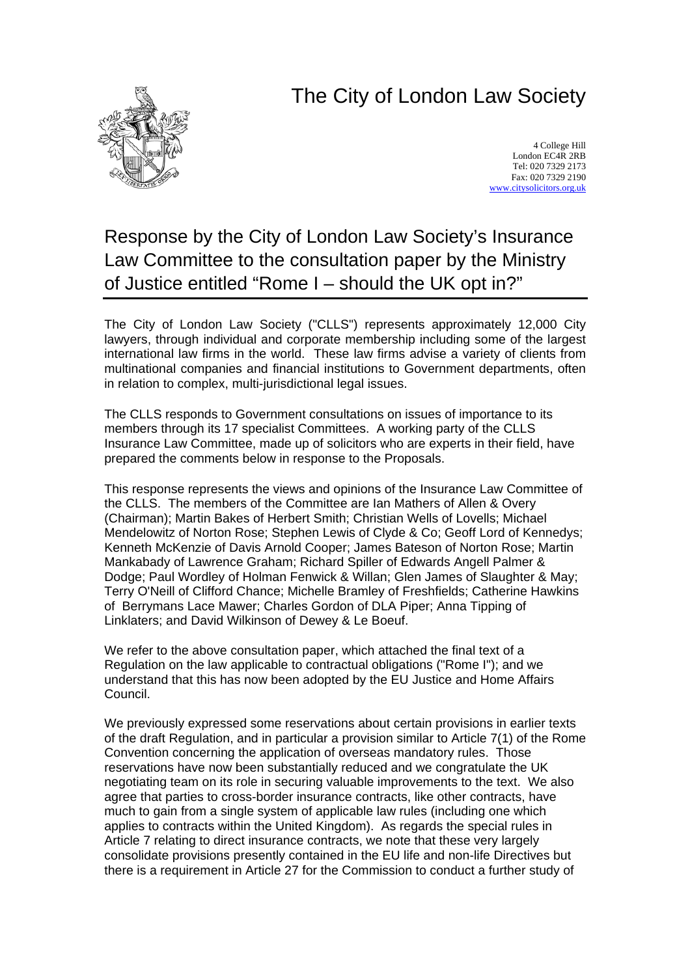## The City of London Law Society



4 College Hill London EC4R 2RB Tel: 020 7329 2173 Fax: 020 7329 2190 [www.citysolicitors.org.uk](http://www.citysolicitors.org.uk/)

## Response by the City of London Law Society's Insurance Law Committee to the consultation paper by the Ministry of Justice entitled "Rome I – should the UK opt in?"

The City of London Law Society ("CLLS") represents approximately 12,000 City lawyers, through individual and corporate membership including some of the largest international law firms in the world. These law firms advise a variety of clients from multinational companies and financial institutions to Government departments, often in relation to complex, multi-jurisdictional legal issues.

The CLLS responds to Government consultations on issues of importance to its members through its 17 specialist Committees. A working party of the CLLS Insurance Law Committee, made up of solicitors who are experts in their field, have prepared the comments below in response to the Proposals.

This response represents the views and opinions of the Insurance Law Committee of the CLLS. The members of the Committee are Ian Mathers of Allen & Overy (Chairman); Martin Bakes of Herbert Smith; Christian Wells of Lovells; Michael Mendelowitz of Norton Rose; Stephen Lewis of Clyde & Co; Geoff Lord of Kennedys; Kenneth McKenzie of Davis Arnold Cooper; James Bateson of Norton Rose; Martin Mankabady of Lawrence Graham; Richard Spiller of Edwards Angell Palmer & Dodge; Paul Wordley of Holman Fenwick & Willan; Glen James of Slaughter & May; Terry O'Neill of Clifford Chance; Michelle Bramley of Freshfields; Catherine Hawkins of Berrymans Lace Mawer; Charles Gordon of DLA Piper; Anna Tipping of Linklaters; and David Wilkinson of Dewey & Le Boeuf.

We refer to the above consultation paper, which attached the final text of a Regulation on the law applicable to contractual obligations ("Rome I"); and we understand that this has now been adopted by the EU Justice and Home Affairs Council.

We previously expressed some reservations about certain provisions in earlier texts of the draft Regulation, and in particular a provision similar to Article 7(1) of the Rome Convention concerning the application of overseas mandatory rules. Those reservations have now been substantially reduced and we congratulate the UK negotiating team on its role in securing valuable improvements to the text. We also agree that parties to cross-border insurance contracts, like other contracts, have much to gain from a single system of applicable law rules (including one which applies to contracts within the United Kingdom). As regards the special rules in Article 7 relating to direct insurance contracts, we note that these very largely consolidate provisions presently contained in the EU life and non-life Directives but there is a requirement in Article 27 for the Commission to conduct a further study of